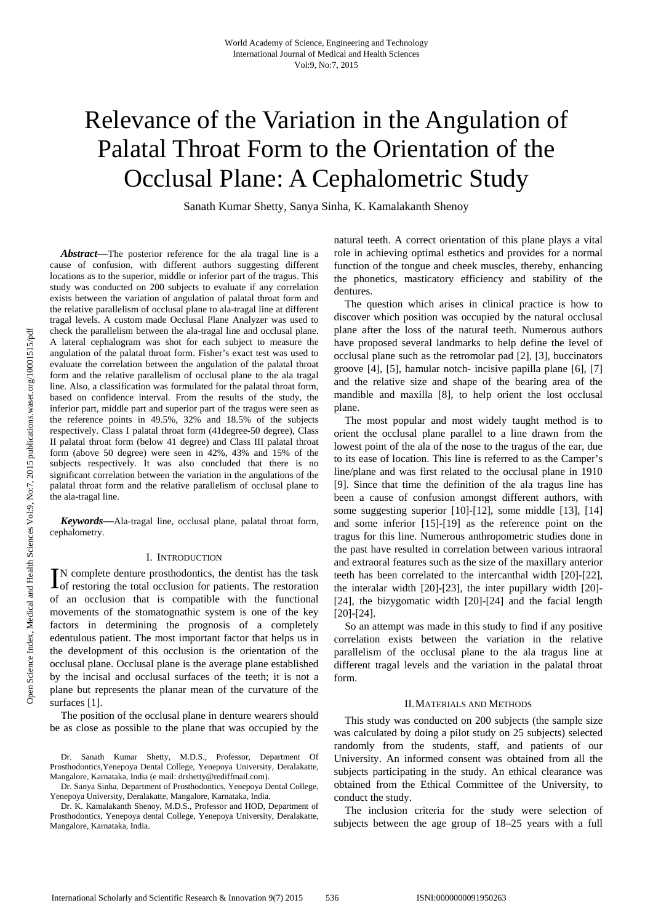# Relevance of the Variation in the Angulation of Palatal Throat Form to the Orientation of the Occlusal Plane: A Cephalometric Study

Sanath Kumar Shetty, Sanya Sinha, K. Kamalakanth Shenoy

*Abstract***—**The posterior reference for the ala tragal line is a cause of confusion, with different authors suggesting different locations as to the superior, middle or inferior part of the tragus. This study was conducted on 200 subjects to evaluate if any correlation exists between the variation of angulation of palatal throat form and the relative parallelism of occlusal plane to ala-tragal line at different tragal levels. A custom made Occlusal Plane Analyzer was used to check the parallelism between the ala-tragal line and occlusal plane. A lateral cephalogram was shot for each subject to measure the angulation of the palatal throat form. Fisher's exact test was used to evaluate the correlation between the angulation of the palatal throat form and the relative parallelism of occlusal plane to the ala tragal line. Also, a classification was formulated for the palatal throat form, based on confidence interval. From the results of the study, the inferior part, middle part and superior part of the tragus were seen as the reference points in 49.5%, 32% and 18.5% of the subjects respectively. Class I palatal throat form (41degree-50 degree), Class II palatal throat form (below 41 degree) and Class III palatal throat form (above 50 degree) were seen in 42%, 43% and 15% of the subjects respectively. It was also concluded that there is no significant correlation between the variation in the angulations of the palatal throat form and the relative parallelism of occlusal plane to the ala-tragal line.

*Keywords***—**Ala-tragal line, occlusal plane, palatal throat form, cephalometry.

## I. INTRODUCTION

N complete denture prosthodontics, the dentist has the task  $\prod$ N complete denture prosthodontics, the dentist has the task of restoring the total occlusion for patients. The restoration of an occlusion that is compatible with the functional movements of the stomatognathic system is one of the key factors in determining the prognosis of a completely edentulous patient. The most important factor that helps us in the development of this occlusion is the orientation of the occlusal plane. Occlusal plane is the average plane established by the incisal and occlusal surfaces of the teeth; it is not a plane but represents the planar mean of the curvature of the surfaces [1].

The position of the occlusal plane in denture wearers should be as close as possible to the plane that was occupied by the

Dr. Sanath Kumar Shetty, M.D.S., Professor, Department Of Prosthodontics,Yenepoya Dental College, Yenepoya University, Deralakatte, Mangalore, Karnataka, India (e mail: drshetty@rediffmail.com).

Dr. Sanya Sinha, Department of Prosthodontics, Yenepoya Dental College, Yenepoya University, Deralakatte, Mangalore, Karnataka, India.

Dr. K. Kamalakanth Shenoy, M.D.S., Professor and HOD, Department of Prosthodontics, Yenepoya dental College, Yenepoya University, Deralakatte, Mangalore, Karnataka, India.

natural teeth. A correct orientation of this plane plays a vital role in achieving optimal esthetics and provides for a normal function of the tongue and cheek muscles, thereby, enhancing the phonetics, masticatory efficiency and stability of the dentures.

The question which arises in clinical practice is how to discover which position was occupied by the natural occlusal plane after the loss of the natural teeth. Numerous authors have proposed several landmarks to help define the level of occlusal plane such as the retromolar pad [2], [3], buccinators groove [4], [5], hamular notch- incisive papilla plane [6], [7] and the relative size and shape of the bearing area of the mandible and maxilla [8], to help orient the lost occlusal plane.

The most popular and most widely taught method is to orient the occlusal plane parallel to a line drawn from the lowest point of the ala of the nose to the tragus of the ear, due to its ease of location. This line is referred to as the Camper's line/plane and was first related to the occlusal plane in 1910 [9]. Since that time the definition of the ala tragus line has been a cause of confusion amongst different authors, with some suggesting superior [10]-[12], some middle [13], [14] and some inferior [15]-[19] as the reference point on the tragus for this line. Numerous anthropometric studies done in the past have resulted in correlation between various intraoral and extraoral features such as the size of the maxillary anterior teeth has been correlated to the intercanthal width [20]-[22], the interalar width [20]-[23], the inter pupillary width [20]- [24], the bizygomatic width [20]-[24] and the facial length [20]-[24].

So an attempt was made in this study to find if any positive correlation exists between the variation in the relative parallelism of the occlusal plane to the ala tragus line at different tragal levels and the variation in the palatal throat form.

## II.MATERIALS AND METHODS

This study was conducted on 200 subjects (the sample size was calculated by doing a pilot study on 25 subjects) selected randomly from the students, staff, and patients of our University. An informed consent was obtained from all the subjects participating in the study. An ethical clearance was obtained from the Ethical Committee of the University, to conduct the study.

The inclusion criteria for the study were selection of subjects between the age group of 18–25 years with a full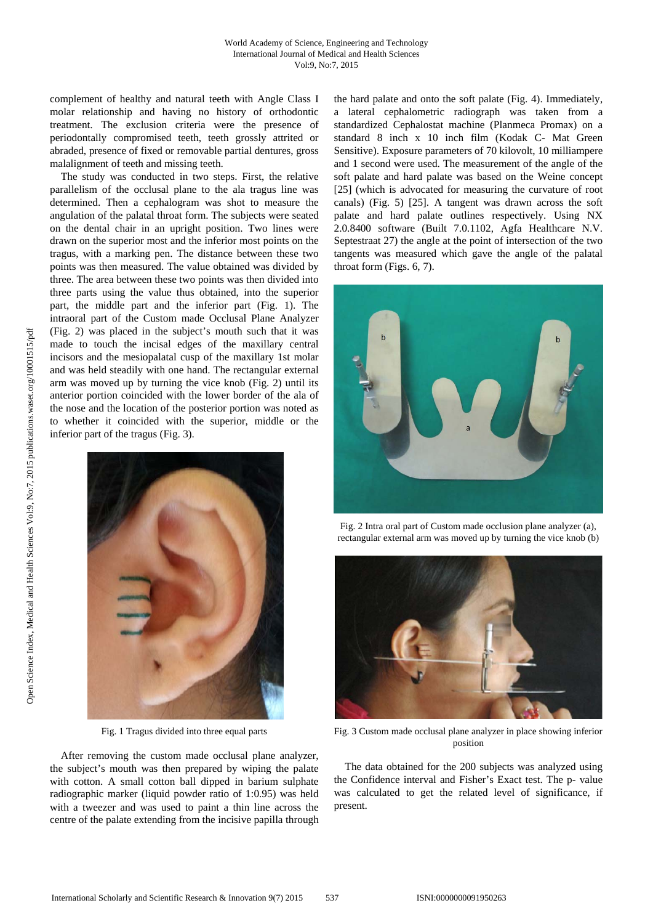complement of healthy and natural teeth with Angle Class I molar relationship and having no history of orthodontic treatment. The exclusion criteria were the presence of periodontally compromised teeth, teeth grossly attrited or abraded, presence of fixed or removable partial dentures, gross malalignment of teeth and missing teeth.

The study was conducted in two steps. First, the relative parallelism of the occlusal plane to the ala tragus line was determined. Then a cephalogram was shot to measure the angulation of the palatal throat form. The subjects were seated on the dental chair in an upright position. Two lines were drawn on the superior most and the inferior most points on the tragus, with a marking pen. The distance between these two points was then measured. The value obtained was divided by three. The area between these two points was then divided into three parts using the value thus obtained, into the superior part, the middle part and the inferior part (Fig. 1). The intraoral part of the Custom made Occlusal Plane Analyzer (Fig. 2) was placed in the subject's mouth such that it was made to touch the incisal edges of the maxillary central incisors and the mesiopalatal cusp of the maxillary 1st molar and was held steadily with one hand. The rectangular external arm was moved up by turning the vice knob (Fig. 2) until its anterior portion coincided with the lower border of the ala of the nose and the location of the posterior portion was noted as to whether it coincided with the superior, middle or the inferior part of the tragus (Fig. 3).



Fig. 1 Tragus divided into three equal parts

After removing the custom made occlusal plane analyzer, the subject's mouth was then prepared by wiping the palate with cotton. A small cotton ball dipped in barium sulphate radiographic marker (liquid powder ratio of 1:0.95) was held with a tweezer and was used to paint a thin line across the centre of the palate extending from the incisive papilla through the hard palate and onto the soft palate (Fig. 4). Immediately, a lateral cephalometric radiograph was taken from a standardized Cephalostat machine (Planmeca Promax) on a standard 8 inch x 10 inch film (Kodak C- Mat Green Sensitive). Exposure parameters of 70 kilovolt, 10 milliampere and 1 second were used. The measurement of the angle of the soft palate and hard palate was based on the Weine concept [25] (which is advocated for measuring the curvature of root canals) (Fig. 5) [25]. A tangent was drawn across the soft palate and hard palate outlines respectively. Using NX 2.0.8400 software (Built 7.0.1102, Agfa Healthcare N.V. Septestraat 27) the angle at the point of intersection of the two tangents was measured which gave the angle of the palatal throat form (Figs. 6, 7).



Fig. 2 Intra oral part of Custom made occlusion plane analyzer (a), rectangular external arm was moved up by turning the vice knob (b)



Fig. 3 Custom made occlusal plane analyzer in place showing inferior position

The data obtained for the 200 subjects was analyzed using the Confidence interval and Fisher's Exact test. The p- value was calculated to get the related level of significance, if present.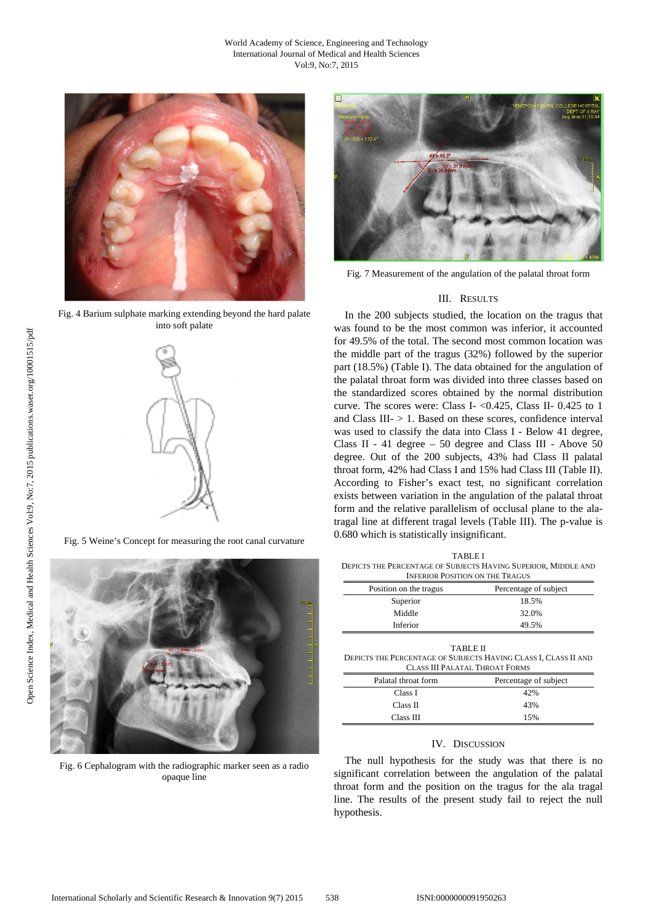

Fig. 4 Barium sulphate marking extending beyond the hard palate into soft palate



Fig. 5 Weine's Concept for measuring the root canal curvature



Fig. 6 Cephalogram with the radiographic marker seen as a radio opaque line



Fig. 7 Measurement of the angulation of the palatal throat form

# III. RESULTS

In the 200 subjects studied, the location on the tragus that was found to be the most common was inferior, it accounted for 49.5% of the total. The second most common location was the middle part of the tragus (32%) followed by the superior part (18.5%) (Table I). The data obtained for the angulation of the palatal throat form was divided into three classes based on the standardized scores obtained by the normal distribution curve. The scores were: Class I- <0.425, Class II- 0.425 to 1 and Class III $-$  > 1. Based on these scores, confidence interval was used to classify the data into Class I - Below 41 degree, Class II - 41 degree – 50 degree and Class III - Above 50 degree. Out of the 200 subjects, 43% had Class II palatal throat form, 42% had Class I and 15% had Class III (Table II). According to Fisher's exact test, no significant correlation exists between variation in the angulation of the palatal throat form and the relative parallelism of occlusal plane to the alatragal line at different tragal levels (Table III). The p-value is 0.680 which is statistically insignificant.

TABLE I DEPICTS THE PERCENTAGE OF SUBJECTS HAVING SUPERIOR, MIDDLE AND INFERIOR POSITION ON THE TRAGUS

| Position on the tragus | Percentage of subject |  |  |  |
|------------------------|-----------------------|--|--|--|
| Superior               | 18.5%                 |  |  |  |
| Middle                 | 32.0%                 |  |  |  |
| Inferior               | 49.5%                 |  |  |  |
|                        |                       |  |  |  |

| <b>TABLE II</b>                                                 |
|-----------------------------------------------------------------|
| DEPICTS THE PERCENTAGE OF SUBJECTS HAVING CLASS I. CLASS II AND |
| <b>CLASS III PALATAL THROAT FORMS</b>                           |

| Palatal throat form | Percentage of subject |  |  |
|---------------------|-----------------------|--|--|
| Class I             | 42%                   |  |  |
| Class II            | 43%                   |  |  |
| Class III           | 15%                   |  |  |

# IV. DISCUSSION

The null hypothesis for the study was that there is no significant correlation between the angulation of the palatal throat form and the position on the tragus for the ala tragal line. The results of the present study fail to reject the null hypothesis.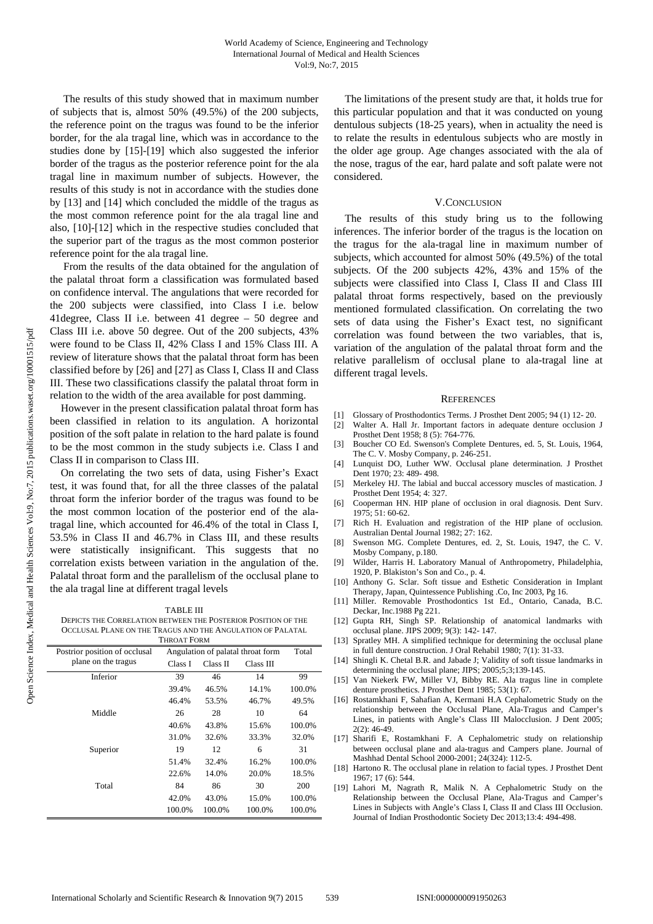The results of this study showed that in maximum number of subjects that is, almost 50% (49.5%) of the 200 subjects, the reference point on the tragus was found to be the inferior border, for the ala tragal line, which was in accordance to the studies done by [15]-[19] which also suggested the inferior border of the tragus as the posterior reference point for the ala tragal line in maximum number of subjects. However, the results of this study is not in accordance with the studies done by [13] and [14] which concluded the middle of the tragus as the most common reference point for the ala tragal line and also, [10]-[12] which in the respective studies concluded that the superior part of the tragus as the most common posterior reference point for the ala tragal line.

 From the results of the data obtained for the angulation of the palatal throat form a classification was formulated based on confidence interval. The angulations that were recorded for the 200 subjects were classified, into Class I i.e. below 41degree, Class II i.e. between 41 degree – 50 degree and Class III i.e. above 50 degree. Out of the 200 subjects, 43% were found to be Class II, 42% Class I and 15% Class III. A review of literature shows that the palatal throat form has been classified before by [26] and [27] as Class I, Class II and Class III. These two classifications classify the palatal throat form in relation to the width of the area available for post damming.

However in the present classification palatal throat form has been classified in relation to its angulation. A horizontal position of the soft palate in relation to the hard palate is found to be the most common in the study subjects i.e. Class I and Class II in comparison to Class III.

On correlating the two sets of data, using Fisher's Exact test, it was found that, for all the three classes of the palatal throat form the inferior border of the tragus was found to be the most common location of the posterior end of the alatragal line, which accounted for 46.4% of the total in Class I, 53.5% in Class II and 46.7% in Class III, and these results were statistically insignificant. This suggests that no correlation exists between variation in the angulation of the. Palatal throat form and the parallelism of the occlusal plane to the ala tragal line at different tragal levels

### TABLE III

DEPICTS THE CORRELATION BETWEEN THE POSTERIOR POSITION OF THE OCCLUSAL PLANE ON THE TRAGUS AND THE ANGULATION OF PALATAL THROAT FORM

| Postrior position of occlusal | Angulation of palatal throat form |          |           | Total  |
|-------------------------------|-----------------------------------|----------|-----------|--------|
| plane on the tragus           | Class I                           | Class II | Class III |        |
| Inferior                      | 39                                | 46       | 14        | 99     |
|                               | 39.4%                             | 46.5%    | 14.1%     | 100.0% |
|                               | 46.4%                             | 53.5%    | 46.7%     | 49.5%  |
| Middle                        | 26                                | 28       | 10        | 64     |
|                               | 40.6%                             | 43.8%    | 15.6%     | 100.0% |
|                               | 31.0%                             | 32.6%    | 33.3%     | 32.0%  |
| Superior                      | 19                                | 12       | 6         | 31     |
|                               | 51.4%                             | 32.4%    | 16.2%     | 100.0% |
|                               | 22.6%                             | 14.0%    | 20.0%     | 18.5%  |
| Total                         | 84                                | 86       | 30        | 200    |
|                               | 42.0%                             | 43.0%    | 15.0%     | 100.0% |
|                               | 100.0%                            | 100.0%   | 100.0%    | 100.0% |

The limitations of the present study are that, it holds true for this particular population and that it was conducted on young dentulous subjects (18-25 years), when in actuality the need is to relate the results in edentulous subjects who are mostly in the older age group. Age changes associated with the ala of the nose, tragus of the ear, hard palate and soft palate were not considered.

## V.CONCLUSION

The results of this study bring us to the following inferences. The inferior border of the tragus is the location on the tragus for the ala-tragal line in maximum number of subjects, which accounted for almost 50% (49.5%) of the total subjects. Of the 200 subjects 42%, 43% and 15% of the subjects were classified into Class I, Class II and Class III palatal throat forms respectively, based on the previously mentioned formulated classification. On correlating the two sets of data using the Fisher's Exact test, no significant correlation was found between the two variables, that is, variation of the angulation of the palatal throat form and the relative parallelism of occlusal plane to ala-tragal line at different tragal levels.

### **REFERENCES**

- [1] Glossary of Prosthodontics Terms. J Prosthet Dent 2005; 94 (1) 12- 20.
- [2] Walter A. Hall Jr. Important factors in adequate denture occlusion J Prosthet Dent 1958; 8 (5): 764-776.
- [3] Boucher CO Ed. Swenson's Complete Dentures, ed. 5, St. Louis, 1964, The C. V. Mosby Company, p. 246-251.
- [4] Lunquist DO, Luther WW. Occlusal plane determination. J Prosthet Dent 1970; 23: 489- 498.
- [5] Merkeley HJ. The labial and buccal accessory muscles of mastication. J Prosthet Dent 1954; 4: 327.
- [6] Cooperman HN. HIP plane of occlusion in oral diagnosis. Dent Surv. 1975; 51: 60-62.
- [7] Rich H. Evaluation and registration of the HIP plane of occlusion. Australian Dental Journal 1982; 27: 162.
- [8] Swenson MG. Complete Dentures, ed. 2, St. Louis, 1947, the C. V. Mosby Company, p.180.
- [9] Wilder, Harris H. Laboratory Manual of Anthropometry, Philadelphia, 1920, P. Blakiston's Son and Co., p. 4.
- [10] Anthony G. Sclar. Soft tissue and Esthetic Consideration in Implant Therapy, Japan, Quintessence Publishing .Co, Inc 2003, Pg 16.
- [11] Miller. Removable Prosthodontics 1st Ed., Ontario, Canada, B.C. Deckar, Inc.1988 Pg 221.
- [12] Gupta RH, Singh SP. Relationship of anatomical landmarks with occlusal plane. JIPS 2009; 9(3): 142- 147.
- [13] Spratley MH. A simplified technique for determining the occlusal plane in full denture construction. J Oral Rehabil 1980; 7(1): 31-33.
- [14] Shingli K. Chetal B.R. and Jabade J; Validity of soft tissue landmarks in determining the occlusal plane; JIPS; 2005;5;3;139-145.
- [15] Van Niekerk FW, Miller VJ, Bibby RE. Ala tragus line in complete denture prosthetics. J Prosthet Dent 1985; 53(1): 67.
- [16] Rostamkhani F, Sahafian A, Kermani H.A Cephalometric Study on the relationship between the Occlusal Plane, Ala-Tragus and Camper's Lines, in patients with Angle's Class III Malocclusion. J Dent 2005; 2(2): 46-49.
- [17] Sharifi E, Rostamkhani F. A Cephalometric study on relationship between occlusal plane and ala-tragus and Campers plane. Journal of Mashhad Dental School 2000-2001; 24(324): 112-5.
- [18] Hartono R. The occlusal plane in relation to facial types. J Prosthet Dent 1967; 17 (6): 544.
- [19] Lahori M, Nagrath R, Malik N. A Cephalometric Study on the Relationship between the Occlusal Plane, Ala-Tragus and Camper's Lines in Subjects with Angle's Class I, Class II and Class III Occlusion. Journal of Indian Prosthodontic Society Dec 2013;13:4: 494-498.